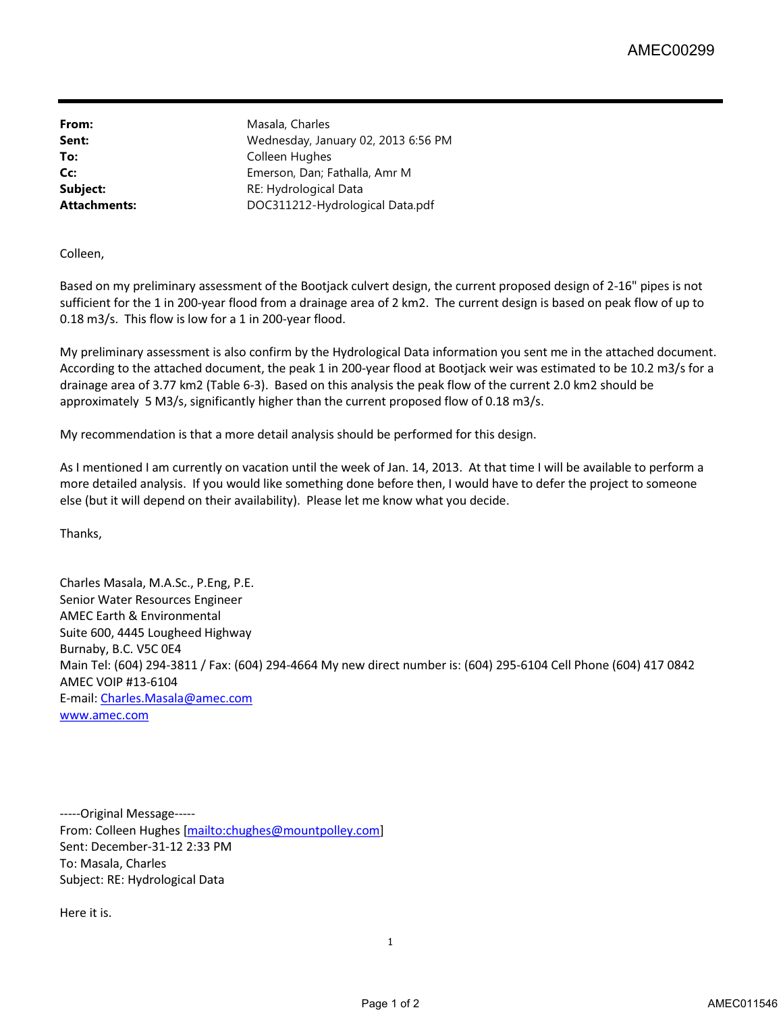From: Masala, Charles

**Sent:** Wednesday, January 02, 2013 6:56 PM To: Colleen Hughes **Cc:** Emerson, Dan; Fathalla, Amr M **Subject:** RE: Hydrological Data **Attachments:** DOC311212-Hydrological Data.pdf

Colleen,

Based on my preliminary assessment of the Bootjack culvert design, the current proposed design of 2-16" pipes is not sufficient for the 1 in 200-year flood from a drainage area of 2 km2. The current design is based on peak flow of up to 0.18 m3/s. This flow is low for a 1 in 200-year flood.

My preliminary assessment is also confirm by the Hydrological Data information you sent me in the attached document. According to the attached document, the peak 1 in 200-year flood at Bootjack weir was estimated to be 10.2 m3/s for a drainage area of 3.77 km2 (Table 6-3). Based on this analysis the peak flow of the current 2.0 km2 should be approximately 5 M3/s, significantly higher than the current proposed flow of 0.18 m3/s.

My recommendation is that a more detail analysis should be performed for this design.

As I mentioned I am currently on vacation until the week of Jan. 14, 2013. At that time I will be available to perform a more detailed analysis. If you would like something done before then, I would have to defer the project to someone else (but it will depend on their availability). Please let me know what you decide.

Thanks,

Charles Masala, M.A.Sc., P.Eng, P.E. Senior Water Resources Engineer AMEC Earth & Environmental Suite 600, 4445 Lougheed Highway Burnaby, B.C. V5C 0E4 Main Tel: (604) 294-3811 / Fax: (604) 294-4664 My new direct number is: (604) 295-6104 Cell Phone (604) 417 0842 AMEC VOIP #13-6104 E-mail: Charles.Masala@amec.com [www.amec.com](http://www.amec.com)

-----Original Message----- From: Colleen Hughes [mailto:chughes@mountpolley.com] Sent: December-31-12 2:33 PM To: Masala, Charles Subject: RE: Hydrological Data

Here it is.

1